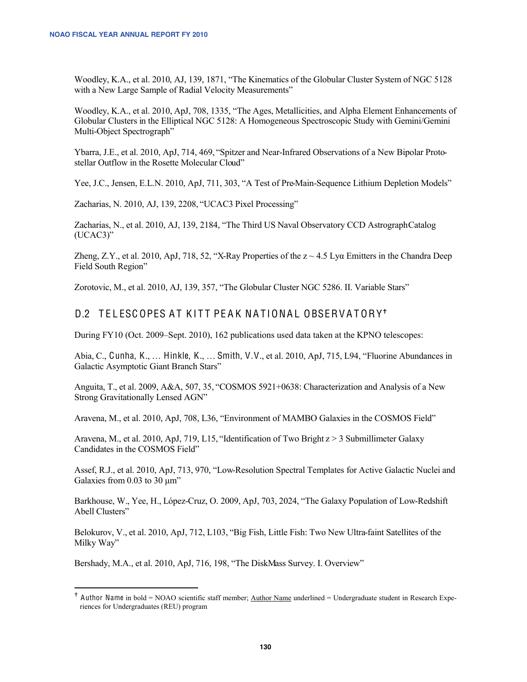Woodley, K.A., et al. 2010, AJ, 139, 1871, "The Kinematics of the Globular Cluster System of NGC 5128 with a New Large Sample of Radial Velocity Measurements"

Woodley, K.A., et al. 2010, ApJ, 708, 1335, "The Ages, Metallicities, and Alpha Element Enhancements of Globular Clusters in the Elliptical NGC 5128: A Homogeneous Spectroscopic Study with Gemini/Gemini Multi-Object Spectrograph"

Ybarra, J.E., et al. 2010, ApJ, 714, 469, "Spitzer and Near-Infrared Observations of a New Bipolar Protostellar Outflow in the Rosette Molecular Cloud"

Yee, J.C., Jensen, E.L.N. 2010, ApJ, 711, 303, "A Test of Pre-Main-Sequence Lithium Depletion Models"

Zacharias, N. 2010, AJ, 139, 2208, "UCAC3 Pixel Processing"

Zacharias, N., et al. 2010, AJ, 139, 2184, "The Third US Naval Observatory CCD Astrograph Catalog  $(UCAC3)$ "

Zheng, Z.Y., et al. 2010, ApJ, 718, 52, "X-Ray Properties of the  $z \sim 4.5$  Lya Emitters in the Chandra Deep Field South Region"

Zorotovic, M., et al. 2010, AJ, 139, 357, "The Globular Cluster NGC 5286. II. Variable Stars"

## D.2 TELESCOPES AT KITT PEAK NATIONAL OBSERVATORY<sup>+</sup>

During FY10 (Oct. 2009–Sept. 2010), 162 publications used data taken at the KPNO telescopes:

Abia, C., Cunha, K., ... Hinkle, K., ... Smith, V.V., et al. 2010, ApJ, 715, L94, "Fluorine Abundances in Galactic Asymptotic Giant Branch Stars"

Anguita, T., et al. 2009, A&A, 507, 35, "COSMOS 5921+0638: Characterization and Analysis of a New Strong Gravitationally Lensed AGN"

Aravena, M., et al. 2010, ApJ, 708, L36, "Environment of MAMBO Galaxies in the COSMOS Field"

Aravena, M., et al. 2010, ApJ, 719, L15, "Identification of Two Bright  $z > 3$  Submillimeter Galaxy Candidates in the COSMOS Field"

Assef, R.J., et al. 2010, ApJ, 713, 970, "Low-Resolution Spectral Templates for Active Galactic Nuclei and Galaxies from 0.03 to 30 um"

Barkhouse, W., Yee, H., López-Cruz, O. 2009, ApJ, 703, 2024, "The Galaxy Population of Low-Redshift Abell Clusters"

Belokurov, V., et al. 2010, ApJ, 712, L103, "Big Fish, Little Fish: Two New Ultra-faint Satellites of the Milky Way"

Bershady, M.A., et al. 2010, ApJ, 716, 198, "The DiskMass Survey. I. Overview"

<sup>&</sup>lt;sup> $+$ </sup> Author Name in bold = NOAO scientific staff member; <u>Author Name</u> underlined = Undergraduate student in Research Experiences for Undergraduates (REU) program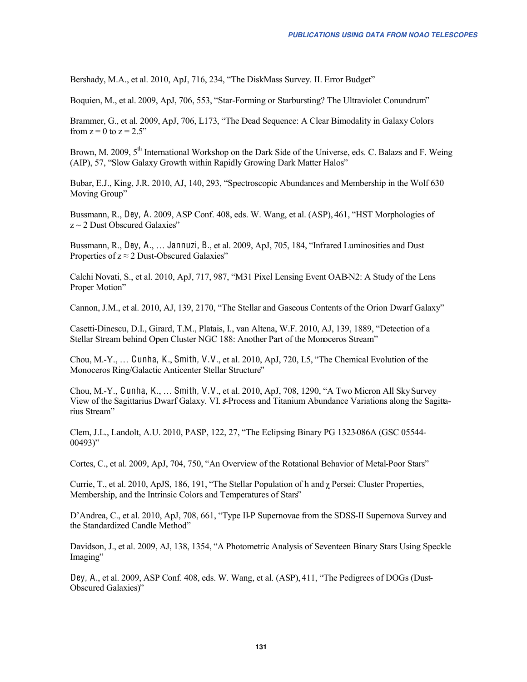Bershady, M.A., et al. 2010, ApJ, 716, 234, "The DiskMass Survey. II. Error Budget"

Boquien, M., et al. 2009, ApJ, 706, 553, "Star-Forming or Starbursting? The Ultraviolet Conundrum"

Brammer, G., et al. 2009, ApJ, 706, L173, "The Dead Sequence: A Clear Bimodality in Galaxy Colors from  $z = 0$  to  $z = 2.5$ "

Brown, M. 2009, 5<sup>th</sup> International Workshop on the Dark Side of the Universe, eds. C. Balazs and F. Weing (AIP), 57, "Slow Galaxy Growth within Rapidly Growing Dark Matter Halos"

Bubar, E.J., King, J.R. 2010, AJ, 140, 293, "Spectroscopic Abundances and Membership in the Wolf 630 Moving Group"

Bussmann, R., Dey, A. 2009, ASP Conf. 408, eds. W. Wang, et al. (ASP), 461, "HST Morphologies of  $z \sim 2$  Dust Obscured Galaxies"

Bussmann, R., Dey, A., ... Jannuzi, B., et al. 2009, ApJ, 705, 184, "Infrared Luminosities and Dust Properties of  $z \approx 2$  Dust-Obscured Galaxies"

Calchi Novati, S., et al. 2010, ApJ, 717, 987, "M31 Pixel Lensing Event OAB N2: A Study of the Lens Proper Motion"

Cannon, J.M., et al. 2010, AJ, 139, 2170, "The Stellar and Gaseous Contents of the Orion Dwarf Galaxy"

Casetti-Dinescu, D.I., Girard, T.M., Platais, I., van Altena, W.F. 2010, AJ, 139, 1889, "Detection of a Stellar Stream behind Open Cluster NGC 188: Another Part of the Monoceros Stream"

Chou, M.-Y., ... Cunha, K., Smith, V.V., et al. 2010, ApJ, 720, L5, "The Chemical Evolution of the Monoceros Ring/Galactic Anticenter Stellar Structure"

Chou, M.-Y., Cunha, K., ... Smith, V.V., et al. 2010, ApJ, 708, 1290, "A Two Micron All Sky Survey View of the Sagittarius Dwarf Galaxy. VI. *S*-Process and Titanium Abundance Variations along the Sagittarius Stream"

Clem, J.L., Landolt, A.U. 2010, PASP, 122, 27, "The Eclipsing Binary PG 1323-086A (GSC 05544- $00493$ "

Cortes, C., et al. 2009, ApJ, 704, 750, "An Overview of the Rotational Behavior of Metal-Poor Stars"

Currie, T., et al. 2010, ApJS, 186, 191, "The Stellar Population of h and y Persei: Cluster Properties, Membership, and the Intrinsic Colors and Temperatures of Stars'

D'Andrea, C., et al. 2010, ApJ, 708, 661, "Type II-P Supernovae from the SDSS-II Supernova Survey and the Standardized Candle Method"

Davidson, J., et al. 2009, AJ, 138, 1354, "A Photometric Analysis of Seventeen Binary Stars Using Speckle Imaging"

Dey, A., et al. 2009, ASP Conf. 408, eds. W. Wang, et al. (ASP), 411, "The Pedigrees of DOGs (Dust-Obscured Galaxies)"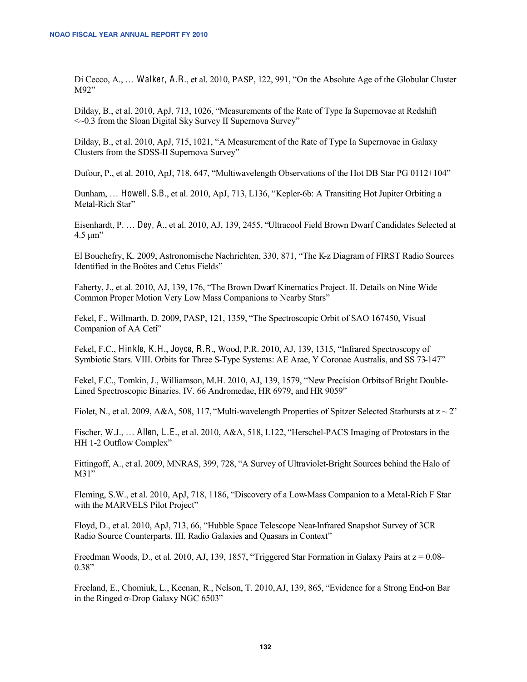Di Cecco, A., ... Walker, A.R., et al. 2010, PASP, 122, 991, "On the Absolute Age of the Globular Cluster M92"

Dilday, B., et al. 2010, ApJ, 713, 1026, "Measurements of the Rate of Type Ia Supernovae at Redshift <<0.3 from the Sloan Digital Sky Survey II Supernova Survey"

Dilday, B., et al. 2010, ApJ, 715, 1021, "A Measurement of the Rate of Type Ia Supernovae in Galaxy Clusters from the SDSS-II Supernova Survey"

Dufour, P., et al. 2010, ApJ, 718, 647, "Multiwavelength Observations of the Hot DB Star PG 0112+104"

Dunham, ... Howell, S.B., et al. 2010, ApJ, 713, L136, "Kepler-6b: A Transiting Hot Jupiter Orbiting a Metal-Rich Star"

Eisenhardt, P. ... Dey, A., et al. 2010, AJ, 139, 2455, "Ultracool Field Brown Dwarf Candidates Selected at  $4.5 \text{ }\mu\text{m}$ "

El Bouchefry, K. 2009, Astronomische Nachrichten, 330, 871, "The K-z Diagram of FIRST Radio Sources Identified in the Boötes and Cetus Fields"

Faherty, J., et al. 2010, AJ, 139, 176, "The Brown Dwarf Kinematics Project. II. Details on Nine Wide Common Proper Motion Very Low Mass Companions to Nearby Stars"

Fekel, F., Willmarth, D. 2009, PASP, 121, 1359, "The Spectroscopic Orbit of SAO 167450, Visual Companion of AA Ceti"

Fekel, F.C., Hinkle, K.H., Joyce, R.R., Wood, P.R. 2010, AJ, 139, 1315, "Infrared Spectroscopy of Symbiotic Stars. VIII. Orbits for Three S-Type Systems: AE Arae, Y Coronae Australis, and SS 73-147"

Fekel, F.C., Tomkin, J., Williamson, M.H. 2010, AJ, 139, 1579, "New Precision Orbits of Bright Double-Lined Spectroscopic Binaries, IV, 66 Andromedae, HR 6979, and HR 9059"

Fiolet, N., et al. 2009, A&A, 508, 117, "Multi-wavelength Properties of Spitzer Selected Starbursts at  $z \sim 2$ "

Fischer, W.J., ... Allen, L.E., et al. 2010, A&A, 518, L122, "Herschel-PACS Imaging of Protostars in the HH 1-2 Outflow Complex"

Fittingoff, A., et al. 2009, MNRAS, 399, 728, "A Survey of Ultraviolet-Bright Sources behind the Halo of  $M31"$ 

Fleming, S.W., et al. 2010, ApJ, 718, 1186, "Discovery of a Low-Mass Companion to a Metal-Rich F Star with the MARVELS Pilot Project"

Floyd, D., et al. 2010, ApJ, 713, 66, "Hubble Space Telescope Near-Infrared Snapshot Survey of 3CR Radio Source Counterparts. III. Radio Galaxies and Quasars in Context"

Freedman Woods, D., et al. 2010, AJ, 139, 1857, "Triggered Star Formation in Galaxy Pairs at  $z = 0.08$ - $0.38"$ 

Freeland, E., Chomiuk, L., Keenan, R., Nelson, T. 2010, AJ, 139, 865, "Evidence for a Strong End-on Bar in the Ringed  $\sigma$ -Drop Galaxy NGC 6503"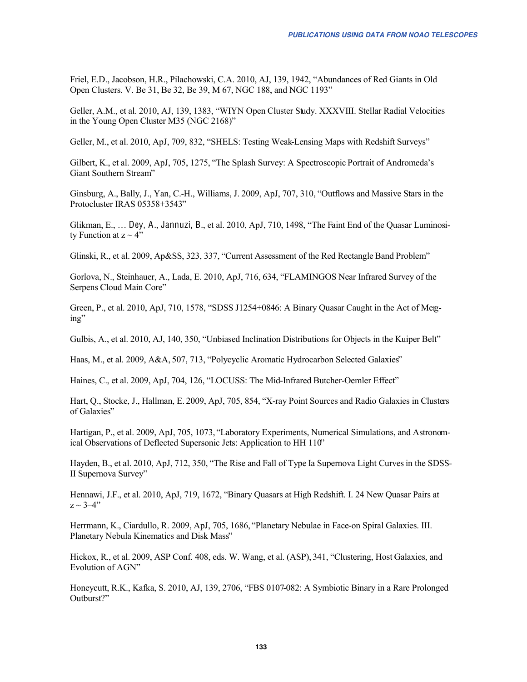Friel, E.D., Jacobson, H.R., Pilachowski, C.A. 2010, AJ, 139, 1942, "Abundances of Red Giants in Old Open Clusters. V. Be 31, Be 32, Be 39, M 67, NGC 188, and NGC 1193"

Geller, A.M., et al. 2010, AJ, 139, 1383, "WIYN Open Cluster Study. XXXVIII. Stellar Radial Velocities in the Young Open Cluster M35 (NGC 2168)"

Geller, M., et al. 2010, ApJ, 709, 832, "SHELS: Testing Weak-Lensing Maps with Redshift Surveys"

Gilbert, K., et al. 2009, ApJ, 705, 1275, "The Splash Survey: A Spectroscopic Portrait of Andromeda's Giant Southern Stream"

Ginsburg, A., Bally, J., Yan, C.-H., Williams, J. 2009, ApJ, 707, 310, "Outflows and Massive Stars in the Protocluster IRAS 05358+3543"

Glikman, E., ... Dey, A., Jannuzi, B., et al. 2010, ApJ, 710, 1498, "The Faint End of the Quasar Luminosity Function at  $z \sim 4$ "

Glinski, R., et al. 2009, Ap&SS, 323, 337, "Current Assessment of the Red Rectangle Band Problem"

Gorlova, N., Steinhauer, A., Lada, E. 2010, ApJ, 716, 634, "FLAMINGOS Near Infrared Survey of the Serpens Cloud Main Core"

Green, P., et al. 2010, ApJ, 710, 1578, "SDSS J1254+0846: A Binary Quasar Caught in the Act of Meg $ing''$ 

Gulbis, A., et al. 2010, AJ, 140, 350, "Unbiased Inclination Distributions for Objects in the Kuiper Belt"

Haas, M., et al. 2009, A&A, 507, 713, "Polycyclic Aromatic Hydrocarbon Selected Galaxies"

Haines, C., et al. 2009, ApJ, 704, 126, "LOCUSS: The Mid-Infrared Butcher-Oemler Effect"

Hart, Q., Stocke, J., Hallman, E. 2009, ApJ, 705, 854, "X-ray Point Sources and Radio Galaxies in Clusters of Galaxies"

Hartigan, P., et al. 2009, ApJ, 705, 1073, "Laboratory Experiments, Numerical Simulations, and Astronomical Observations of Deflected Supersonic Jets: Application to HH 110"

Hayden, B., et al. 2010, ApJ, 712, 350, "The Rise and Fall of Type Ia Supernova Light Curves in the SDSS-II Supernova Survey"

Hennawi, J.F., et al. 2010, ApJ, 719, 1672, "Binary Quasars at High Redshift. I. 24 New Quasar Pairs at  $z \sim 3-4$ "

Herrmann, K., Ciardullo, R. 2009, ApJ, 705, 1686, "Planetary Nebulae in Face-on Spiral Galaxies. III. Planetary Nebula Kinematics and Disk Mass"

Hickox, R., et al. 2009, ASP Conf. 408, eds. W. Wang, et al. (ASP), 341, "Clustering, Host Galaxies, and Evolution of AGN"

Honeycutt, R.K., Kafka, S. 2010, AJ, 139, 2706, "FBS 0107-082: A Symbiotic Binary in a Rare Prolonged Outburst?"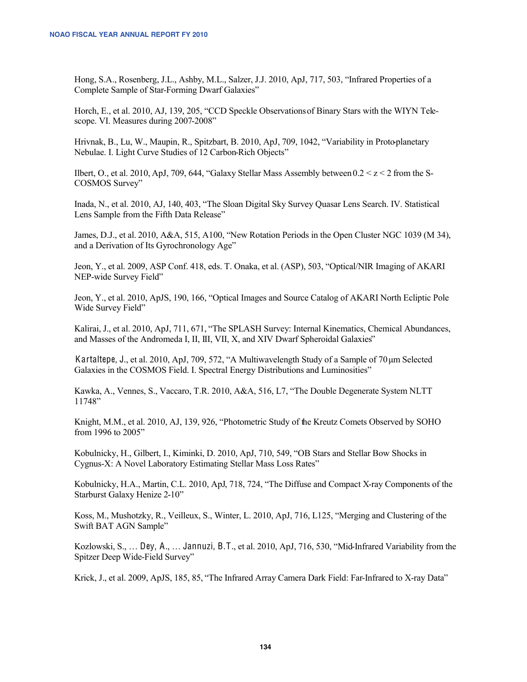Hong, S.A., Rosenberg, J.L., Ashby, M.L., Salzer, J.J. 2010, ApJ, 717, 503, "Infrared Properties of a Complete Sample of Star-Forming Dwarf Galaxies"

Horch, E., et al. 2010, AJ, 139, 205, "CCD Speckle Observations of Binary Stars with the WIYN Telescope. VI. Measures during 2007-2008"

Hrivnak, B., Lu, W., Maupin, R., Spitzbart, B. 2010, ApJ, 709, 1042, "Variability in Protoplanetary Nebulae. I. Light Curve Studies of 12 Carbon-Rich Objects"

Ilbert, O., et al. 2010, ApJ, 709, 644, "Galaxy Stellar Mass Assembly between  $0.2 < z < 2$  from the S-COSMOS Survey"

Inada, N., et al. 2010, AJ, 140, 403, "The Sloan Digital Sky Survey Quasar Lens Search. IV. Statistical Lens Sample from the Fifth Data Release"

James, D.J., et al. 2010, A&A, 515, A100, "New Rotation Periods in the Open Cluster NGC 1039 (M 34), and a Derivation of Its Gyrochronology Age"

Jeon, Y., et al. 2009, ASP Conf. 418, eds. T. Onaka, et al. (ASP), 503, "Optical/NIR Imaging of AKARI NEP-wide Survey Field"

Jeon, Y., et al. 2010, ApJS, 190, 166, "Optical Images and Source Catalog of AKARI North Ecliptic Pole Wide Survey Field"

Kalirai, J., et al. 2010, ApJ, 711, 671, "The SPLASH Survey: Internal Kinematics, Chemical Abundances, and Masses of the Andromeda I, II, III, VII, X, and XIV Dwarf Spheroidal Galaxies"

Kartaltepe, J., et al. 2010, ApJ, 709, 572, "A Multiwavelength Study of a Sample of 70 µm Selected Galaxies in the COSMOS Field. I. Spectral Energy Distributions and Luminosities"

Kawka, A., Vennes, S., Vaccaro, T.R. 2010, A&A, 516, L7, "The Double Degenerate System NLTT 11748"

Knight, M.M., et al. 2010, AJ, 139, 926, "Photometric Study of the Kreutz Comets Observed by SOHO from 1996 to 2005"

Kobulnicky, H., Gilbert, I., Kiminki, D. 2010, ApJ, 710, 549, "OB Stars and Stellar Bow Shocks in Cygnus-X: A Novel Laboratory Estimating Stellar Mass Loss Rates"

Kobulnicky, H.A., Martin, C.L. 2010, ApJ, 718, 724, "The Diffuse and Compact X-ray Components of the Starburst Galaxy Henize 2-10"

Koss, M., Mushotzky, R., Veilleux, S., Winter, L. 2010, ApJ, 716, L125, "Merging and Clustering of the Swift BAT AGN Sample"

Kozlowski, S., ... Dey, A., ... Jannuzi, B.T., et al. 2010, ApJ, 716, 530, "Mid-Infrared Variability from the Spitzer Deep Wide-Field Survey"

Krick, J., et al. 2009, ApJS, 185, 85, "The Infrared Array Camera Dark Field: Far-Infrared to X-ray Data"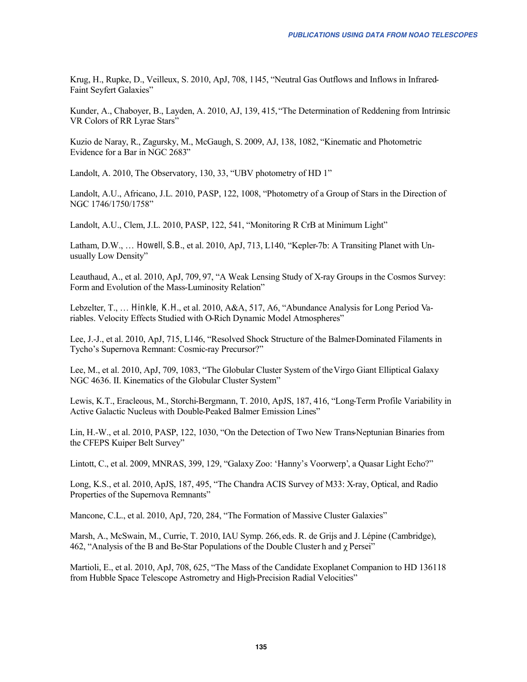Krug, H., Rupke, D., Veilleux, S. 2010, ApJ, 708, 1145, "Neutral Gas Outflows and Inflows in Infrared-Faint Seyfert Galaxies"

Kunder, A., Chaboyer, B., Layden, A. 2010, AJ, 139, 415, "The Determination of Reddening from Intrinsic VR Colors of RR Lyrae Stars"

Kuzio de Naray, R., Zagursky, M., McGaugh, S. 2009, AJ, 138, 1082, "Kinematic and Photometric Evidence for a Bar in NGC 2683"

Landolt, A. 2010, The Observatory, 130, 33, "UBV photometry of HD 1"

Landolt, A.U., Africano, J.L. 2010, PASP, 122, 1008, "Photometry of a Group of Stars in the Direction of NGC 1746/1750/1758"

Landolt, A.U., Clem, J.L. 2010, PASP, 122, 541, "Monitoring R CrB at Minimum Light"

Latham, D.W., ... Howell, S.B., et al. 2010, ApJ, 713, L140, "Kepler-7b: A Transiting Planet with Unusually Low Density"

Leauthaud, A., et al. 2010, ApJ, 709, 97, "A Weak Lensing Study of X-ray Groups in the Cosmos Survey: Form and Evolution of the Mass-Luminosity Relation"

Lebzelter, T., ... Hinkle, K.H., et al. 2010, A&A, 517, A6, "Abundance Analysis for Long Period Variables. Velocity Effects Studied with O-Rich Dynamic Model Atmospheres"

Lee, J.-J., et al. 2010, ApJ, 715, L146, "Resolved Shock Structure of the Balmer-Dominated Filaments in Tycho's Supernova Remnant: Cosmic-ray Precursor?"

Lee, M., et al. 2010, ApJ, 709, 1083, "The Globular Cluster System of the Virgo Giant Elliptical Galaxy NGC 4636. II. Kinematics of the Globular Cluster System"

Lewis, K.T., Eracleous, M., Storchi-Bergmann, T. 2010, ApJS, 187, 416, "Long-Term Profile Variability in Active Galactic Nucleus with Double-Peaked Balmer Emission Lines"

Lin, H.-W., et al. 2010, PASP, 122, 1030, "On the Detection of Two New Trans-Neptunian Binaries from the CFEPS Kuiper Belt Survey"

Lintott, C., et al. 2009, MNRAS, 399, 129, "Galaxy Zoo: 'Hanny's Voorwerp', a Quasar Light Echo?"

Long, K.S., et al. 2010, ApJS, 187, 495, "The Chandra ACIS Survey of M33: X-ray, Optical, and Radio Properties of the Supernova Remnants"

Mancone, C.L., et al. 2010, ApJ, 720, 284, "The Formation of Massive Cluster Galaxies"

Marsh, A., McSwain, M., Currie, T. 2010, IAU Symp. 266, eds. R. de Grijs and J. Lépine (Cambridge), 462, "Analysis of the B and Be-Star Populations of the Double Cluster h and  $\gamma$  Persei"

Martioli, E., et al. 2010, ApJ, 708, 625, "The Mass of the Candidate Exoplanet Companion to HD 136118 from Hubble Space Telescope Astrometry and High-Precision Radial Velocities"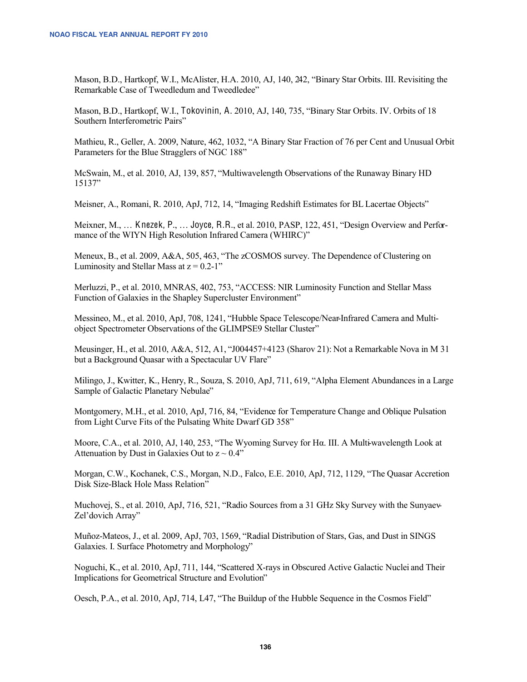Mason, B.D., Hartkopf, W.I., McAlister, H.A. 2010, AJ, 140, 242, "Binary Star Orbits. III. Revisiting the Remarkable Case of Tweedledum and Tweedledee"

Mason, B.D., Hartkopf, W.I., Tokovinin, A. 2010, AJ, 140, 735, "Binary Star Orbits. IV. Orbits of 18 Southern Interferometric Pairs"

Mathieu, R., Geller, A. 2009, Nature, 462, 1032, "A Binary Star Fraction of 76 per Cent and Unusual Orbit Parameters for the Blue Stragglers of NGC 188"

McSwain, M., et al. 2010, AJ, 139, 857, "Multiwavelength Observations of the Runaway Binary HD 15137"

Meisner, A., Romani, R. 2010, ApJ, 712, 14, "Imaging Redshift Estimates for BL Lacertae Objects"

Meixner, M., ... Knezek, P., ... Joyce, R.R., et al. 2010, PASP, 122, 451, "Design Overview and Performance of the WIYN High Resolution Infrared Camera (WHIRC)"

Meneux, B., et al. 2009, A&A, 505, 463, "The zCOSMOS survey. The Dependence of Clustering on Luminosity and Stellar Mass at  $z = 0.2 - 1$ "

Merluzzi, P., et al. 2010, MNRAS, 402, 753, "ACCESS: NIR Luminosity Function and Stellar Mass Function of Galaxies in the Shapley Supercluster Environment"

Messineo, M., et al. 2010, ApJ, 708, 1241, "Hubble Space Telescope/Near-Infrared Camera and Multiobject Spectrometer Observations of the GLIMPSE9 Stellar Cluster"

Meusinger, H., et al. 2010, A&A, 512, A1, "J004457+4123 (Sharov 21): Not a Remarkable Nova in M 31 but a Background Quasar with a Spectacular UV Flare"

Milingo, J., Kwitter, K., Henry, R., Souza, S. 2010, ApJ, 711, 619, "Alpha Element Abundances in a Large Sample of Galactic Planetary Nebulae"

Montgomery, M.H., et al. 2010, ApJ, 716, 84, "Evidence for Temperature Change and Oblique Pulsation from Light Curve Fits of the Pulsating White Dwarf GD 358"

Moore, C.A., et al. 2010, AJ, 140, 253, "The Wyoming Survey for Ha. III. A Multi-wavelength Look at Attenuation by Dust in Galaxies Out to  $z \sim 0.4$ "

Morgan, C.W., Kochanek, C.S., Morgan, N.D., Falco, E.E. 2010, ApJ, 712, 1129, "The Quasar Accretion Disk Size-Black Hole Mass Relation"

Muchovej, S., et al. 2010, ApJ, 716, 521, "Radio Sources from a 31 GHz Sky Survey with the Sunyaev-Zel'dovich Array"

Muñoz-Mateos, J., et al. 2009, ApJ, 703, 1569, "Radial Distribution of Stars, Gas, and Dust in SINGS Galaxies. I. Surface Photometry and Morphology"

Noguchi, K., et al. 2010, ApJ, 711, 144, "Scattered X-rays in Obscured Active Galactic Nuclei and Their Implications for Geometrical Structure and Evolution"

Oesch, P.A., et al. 2010, ApJ, 714, L47, "The Buildup of the Hubble Sequence in the Cosmos Field"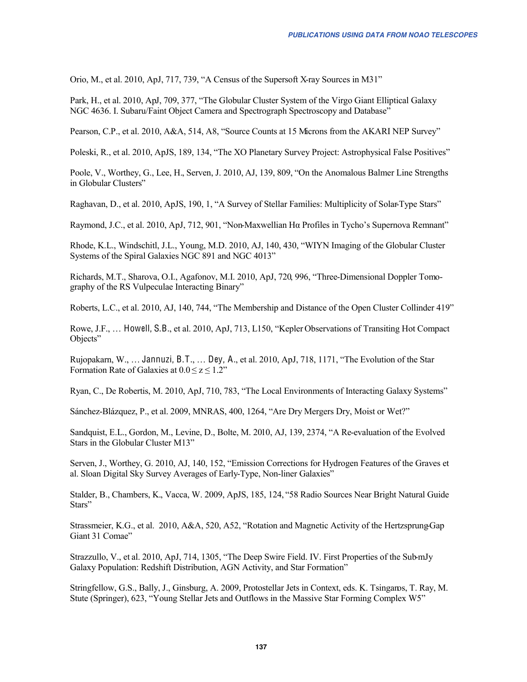Orio, M., et al. 2010, ApJ, 717, 739, "A Census of the Supersoft X-ray Sources in M31"

Park, H., et al. 2010, ApJ, 709, 377, "The Globular Cluster System of the Virgo Giant Elliptical Galaxy NGC 4636. I. Subaru/Faint Object Camera and Spectrograph Spectroscopy and Database"

Pearson, C.P., et al. 2010, A&A, 514, A8, "Source Counts at 15 Microns from the AKARI NEP Survey"

Poleski, R., et al. 2010, ApJS, 189, 134, "The XO Planetary Survey Project: Astrophysical False Positives"

Poole, V., Worthey, G., Lee, H., Serven, J. 2010, AJ, 139, 809, "On the Anomalous Balmer Line Strengths in Globular Clusters"

Raghavan, D., et al. 2010, ApJS, 190, 1, "A Survey of Stellar Families: Multiplicity of Solar-Type Stars"

Raymond, J.C., et al. 2010, ApJ, 712, 901, "Non-Maxwellian Ha Profiles in Tycho's Supernova Remnant"

Rhode, K.L., Windschitl, J.L., Young, M.D. 2010, AJ, 140, 430, "WIYN Imaging of the Globular Cluster Systems of the Spiral Galaxies NGC 891 and NGC 4013"

Richards, M.T., Sharova, O.I., Agafonov, M.I. 2010, ApJ, 720, 996, "Three-Dimensional Doppler Tomography of the RS Vulpeculae Interacting Binary"

Roberts, L.C., et al. 2010, AJ, 140, 744, "The Membership and Distance of the Open Cluster Collinder 419"

Rowe, J.F., ... Howell, S.B., et al. 2010, ApJ, 713, L150, "Kepler Observations of Transiting Hot Compact Objects"

Rujopakarn, W., ... Jannuzi, B.T., ... Dey, A., et al. 2010, ApJ, 718, 1171, "The Evolution of the Star Formation Rate of Galaxies at  $0.0 \le z \le 1.2$ "

Ryan, C., De Robertis, M. 2010, ApJ, 710, 783, "The Local Environments of Interacting Galaxy Systems"

Sánchez-Blázquez, P., et al. 2009, MNRAS, 400, 1264, "Are Dry Mergers Dry, Moist or Wet?"

Sandquist, E.L., Gordon, M., Levine, D., Bolte, M. 2010, AJ, 139, 2374, "A Re-evaluation of the Evolved Stars in the Globular Cluster M13"

Serven, J., Worthey, G. 2010, AJ, 140, 152, "Emission Corrections for Hydrogen Features of the Graves et al. Sloan Digital Sky Survey Averages of Early-Type, Non-liner Galaxies"

Stalder, B., Chambers, K., Vacca, W. 2009, ApJS, 185, 124, "58 Radio Sources Near Bright Natural Guide Stars"

Strassmeier, K.G., et al. 2010, A&A, 520, A52, "Rotation and Magnetic Activity of the Hertzsprung-Gap Giant 31 Comae"

Strazzullo, V., et al. 2010, ApJ, 714, 1305, "The Deep Swire Field. IV. First Properties of the Sub-mJy Galaxy Population: Redshift Distribution, AGN Activity, and Star Formation"

Stringfellow, G.S., Bally, J., Ginsburg, A. 2009, Protostellar Jets in Context, eds. K. Tsingaros, T. Ray, M. Stute (Springer), 623, "Young Stellar Jets and Outflows in the Massive Star Forming Complex W5"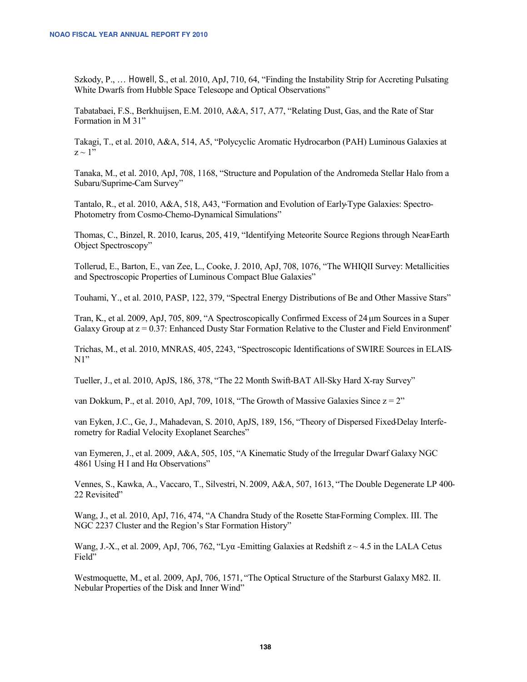Szkody, P., ... Howell, S., et al. 2010, ApJ, 710, 64, "Finding the Instability Strip for Accreting Pulsating White Dwarfs from Hubble Space Telescope and Optical Observations"

Tabatabaei, F.S., Berkhuijsen, E.M. 2010, A&A, 517, A77, "Relating Dust, Gas, and the Rate of Star Formation in M 31"

Takagi, T., et al. 2010, A&A, 514, A5, "Polycyclic Aromatic Hydrocarbon (PAH) Luminous Galaxies at  $z \sim 1$ <sup>"</sup>

Tanaka, M., et al. 2010, ApJ, 708, 1168, "Structure and Population of the Andromeda Stellar Halo from a Subaru/Suprime-Cam Survey"

Tantalo, R., et al. 2010, A&A, 518, A43, "Formation and Evolution of Early-Type Galaxies: Spectro-Photometry from Cosmo-Chemo-Dynamical Simulations"

Thomas, C., Binzel, R. 2010, Icarus, 205, 419, "Identifying Meteorite Source Regions through Near-Earth Object Spectroscopy"

Tollerud, E., Barton, E., van Zee, L., Cooke, J. 2010, ApJ, 708, 1076, "The WHIQII Survey: Metallicities and Spectroscopic Properties of Luminous Compact Blue Galaxies"

Touhami, Y., et al. 2010, PASP, 122, 379, "Spectral Energy Distributions of Be and Other Massive Stars"

Tran, K., et al. 2009, ApJ, 705, 809, "A Spectroscopically Confirmed Excess of 24 um Sources in a Super Galaxy Group at  $z = 0.37$ : Enhanced Dusty Star Formation Relative to the Cluster and Field Environment'

Trichas, M., et al. 2010, MNRAS, 405, 2243, "Spectroscopic Identifications of SWIRE Sources in ELAIS  $N1$ "

Tueller, J., et al. 2010, ApJS, 186, 378, "The 22 Month Swift-BAT All-Sky Hard X-ray Survey"

van Dokkum, P., et al. 2010, ApJ, 709, 1018, "The Growth of Massive Galaxies Since  $z = 2$ "

van Eyken, J.C., Ge, J., Mahadevan, S. 2010, ApJS, 189, 156, "Theory of Dispersed Fixed Delay Interferometry for Radial Velocity Exoplanet Searches"

van Eymeren, J., et al. 2009, A&A, 505, 105, "A Kinematic Study of the Irregular Dwarf Galaxy NGC 4861 Using H I and H $\alpha$  Observations"

Vennes, S., Kawka, A., Vaccaro, T., Silvestri, N. 2009, A&A, 507, 1613, "The Double Degenerate LP 400-22 Revisited"

Wang, J., et al. 2010, ApJ, 716, 474, "A Chandra Study of the Rosette Star-Forming Complex. III. The NGC 2237 Cluster and the Region's Star Formation History"

Wang, J.-X., et al. 2009, ApJ, 706, 762, "Lya -Emitting Galaxies at Redshift  $z \sim 4.5$  in the LALA Cetus Field"

Westmoquette, M., et al. 2009, ApJ, 706, 1571, "The Optical Structure of the Starburst Galaxy M82. II. Nebular Properties of the Disk and Inner Wind"